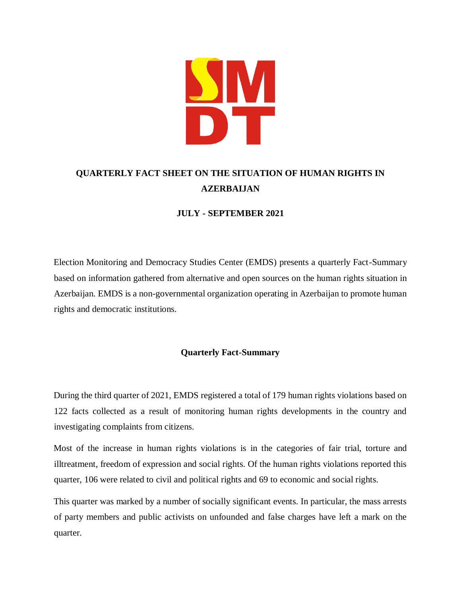

# **QUARTERLY FACT SHEET ON THE SITUATION OF HUMAN RIGHTS IN AZERBAIJAN**

# **JULY - SEPTEMBER 2021**

Election Monitoring and Democracy Studies Center (EMDS) presents a quarterly Fact-Summary based on information gathered from alternative and open sources on the human rights situation in Azerbaijan. EMDS is a non-governmental organization operating in Azerbaijan to promote human rights and democratic institutions.

## **Quarterly Fact-Summary**

During the third quarter of 2021, EMDS registered a total of 179 human rights violations based on 122 facts collected as a result of monitoring human rights developments in the country and investigating complaints from citizens.

Most of the increase in human rights violations is in the categories of fair trial, torture and illtreatment, freedom of expression and social rights. Of the human rights violations reported this quarter, 106 were related to civil and political rights and 69 to economic and social rights.

This quarter was marked by a number of socially significant events. In particular, the mass arrests of party members and public activists on unfounded and false charges have left a mark on the quarter.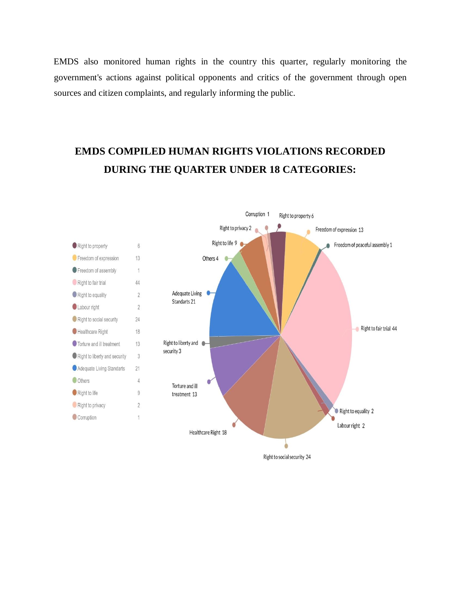EMDS also monitored human rights in the country this quarter, regularly monitoring the government's actions against political opponents and critics of the government through open sources and citizen complaints, and regularly informing the public.

# **EMDS COMPILED HUMAN RIGHTS VIOLATIONS RECORDED DURING THE QUARTER UNDER 18 CATEGORIES:**



Right to social security 24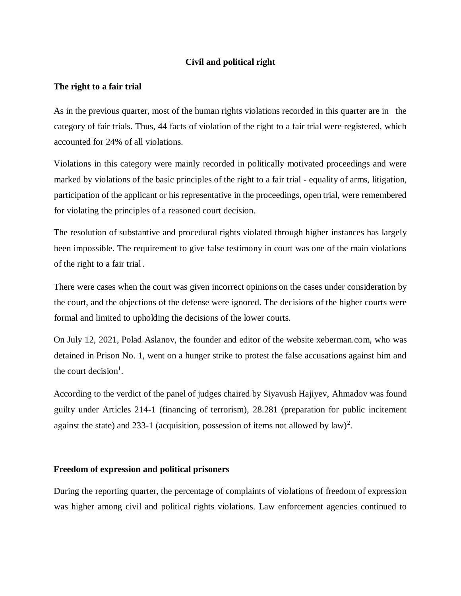### **Civil and political right**

#### **The right to a fair trial**

As in the previous quarter, most of the human rights violations recorded in this quarter are in the category of fair trials. Thus, 44 facts of violation of the right to a fair trial were registered, which accounted for 24% of all violations.

Violations in this category were mainly recorded in politically motivated proceedings and were marked by violations of the basic principles of the right to a fair trial - equality of arms, litigation, participation of the applicant or his representative in the proceedings, open trial, were remembered for violating the principles of a reasoned court decision.

The resolution of substantive and procedural rights violated through higher instances has largely been impossible. The requirement to give false testimony in court was one of the main violations of the right to a fair trial .

There were cases when the court was given incorrect opinions on the cases under consideration by the court, and the objections of the defense were ignored. The decisions of the higher courts were formal and limited to upholding the decisions of the lower courts.

On July 12, 2021, Polad Aslanov, the founder and editor of the website xeberman.com, who was detained in Prison No. 1, went on a hunger strike to protest the false accusations against him and the court decision<sup>1</sup>.

According to the verdict of the panel of judges chaired by Siyavush Hajiyev, Ahmadov was found guilty under Articles 214-1 (financing of terrorism), 28.281 (preparation for public incitement against the state) and 233-1 (acquisition, possession of items not allowed by  $law$ )<sup>2</sup>.

#### **Freedom of expression and political prisoners**

During the reporting quarter, the percentage of complaints of violations of freedom of expression was higher among civil and political rights violations. Law enforcement agencies continued to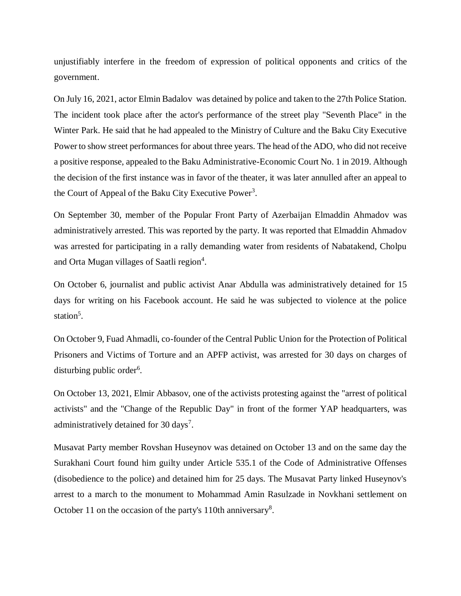unjustifiably interfere in the freedom of expression of political opponents and critics of the government.

On July 16, 2021, actor Elmin Badalov was detained by police and taken to the 27th Police Station. The incident took place after the actor's performance of the street play "Seventh Place" in the Winter Park. He said that he had appealed to the Ministry of Culture and the Baku City Executive Power to show street performances for about three years. The head of the ADO, who did not receive a positive response, appealed to the Baku Administrative-Economic Court No. 1 in 2019. Although the decision of the first instance was in favor of the theater, it was later annulled after an appeal to the Court of Appeal of the Baku City Executive Power<sup>3</sup>.

On September 30, member of the Popular Front Party of Azerbaijan Elmaddin Ahmadov was administratively arrested. This was reported by the party. It was reported that Elmaddin Ahmadov was arrested for participating in a rally demanding water from residents of Nabatakend, Cholpu and Orta Mugan villages of Saatli region<sup>4</sup>.

On October 6, journalist and public activist Anar Abdulla was administratively detained for 15 days for writing on his Facebook account. He said he was subjected to violence at the police station<sup>5</sup>.

On October 9, Fuad Ahmadli, co-founder of the Central Public Union for the Protection of Political Prisoners and Victims of Torture and an APFP activist, was arrested for 30 days on charges of disturbing public order<sup>6</sup>.

On October 13, 2021, Elmir Abbasov, one of the activists protesting against the "arrest of political activists" and the "Change of the Republic Day" in front of the former YAP headquarters, was administratively detained for 30 days<sup>7</sup>.

Musavat Party member Rovshan Huseynov was detained on October 13 and on the same day the Surakhani Court found him guilty under Article 535.1 of the Code of Administrative Offenses (disobedience to the police) and detained him for 25 days. The Musavat Party linked Huseynov's arrest to a march to the monument to Mohammad Amin Rasulzade in Novkhani settlement on October 11 on the occasion of the party's 110th anniversary<sup>8</sup>.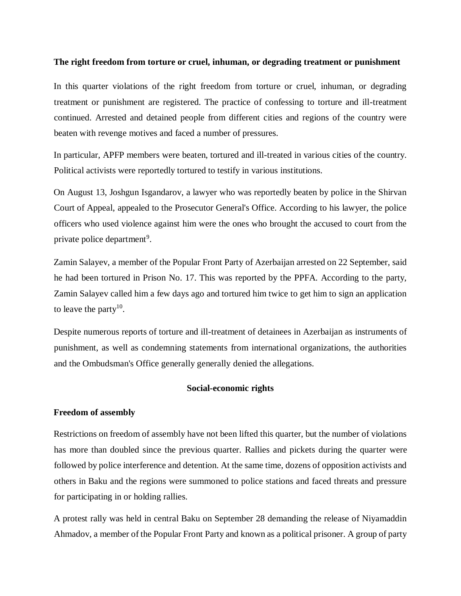#### **The right freedom from torture or cruel, inhuman, or degrading treatment or punishment**

In this quarter violations of the right freedom from torture or cruel, inhuman, or degrading treatment or punishment are registered. The practice of confessing to torture and ill-treatment continued. Arrested and detained people from different cities and regions of the country were beaten with revenge motives and faced a number of pressures.

In particular, APFP members were beaten, tortured and ill-treated in various cities of the country. Political activists were reportedly tortured to testify in various institutions.

On August 13, Joshgun Isgandarov, a lawyer who was reportedly beaten by police in the Shirvan Court of Appeal, appealed to the Prosecutor General's Office. According to his lawyer, the police officers who used violence against him were the ones who brought the accused to court from the private police department<sup>9</sup>.

Zamin Salayev, a member of the Popular Front Party of Azerbaijan arrested on 22 September, said he had been tortured in Prison No. 17. This was reported by the PPFA. According to the party, Zamin Salayev called him a few days ago and tortured him twice to get him to sign an application to leave the party<sup>10</sup>.

Despite numerous reports of torture and ill-treatment of detainees in Azerbaijan as instruments of punishment, as well as condemning statements from international organizations, the authorities and the Ombudsman's Office generally generally denied the allegations.

#### **Social-economic rights**

#### **Freedom of assembly**

Restrictions on freedom of assembly have not been lifted this quarter, but the number of violations has more than doubled since the previous quarter. Rallies and pickets during the quarter were followed by police interference and detention. At the same time, dozens of opposition activists and others in Baku and the regions were summoned to police stations and faced threats and pressure for participating in or holding rallies.

A protest rally was held in central Baku on September 28 demanding the release of Niyamaddin Ahmadov, a member of the Popular Front Party and known as a political prisoner. A group of party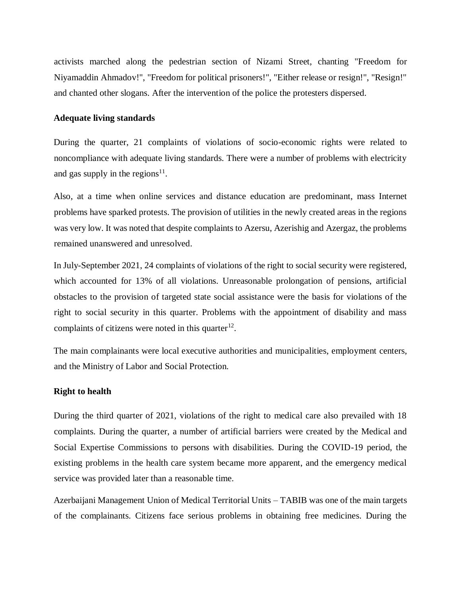activists marched along the pedestrian section of Nizami Street, chanting "Freedom for Niyamaddin Ahmadov!", "Freedom for political prisoners!", "Either release or resign!", "Resign!" and chanted other slogans. After the intervention of the police the protesters dispersed.

#### **Adequate living standards**

During the quarter, 21 complaints of violations of socio-economic rights were related to noncompliance with adequate living standards. There were a number of problems with electricity and gas supply in the regions $11$ .

Also, at a time when online services and distance education are predominant, mass Internet problems have sparked protests. The provision of utilities in the newly created areas in the regions was very low. It was noted that despite complaints to Azersu, Azerishig and Azergaz, the problems remained unanswered and unresolved.

In July-September 2021, 24 complaints of violations of the right to social security were registered, which accounted for 13% of all violations. Unreasonable prolongation of pensions, artificial obstacles to the provision of targeted state social assistance were the basis for violations of the right to social security in this quarter. Problems with the appointment of disability and mass complaints of citizens were noted in this quarter $^{12}$ .

The main complainants were local executive authorities and municipalities, employment centers, and the Ministry of Labor and Social Protection.

#### **Right to health**

During the third quarter of 2021, violations of the right to medical care also prevailed with 18 complaints. During the quarter, a number of artificial barriers were created by the Medical and Social Expertise Commissions to persons with disabilities. During the COVID-19 period, the existing problems in the health care system became more apparent, and the emergency medical service was provided later than a reasonable time.

Azerbaijani Management Union of Medical Territorial Units – TABIB was one of the main targets of the complainants. Citizens face serious problems in obtaining free medicines. During the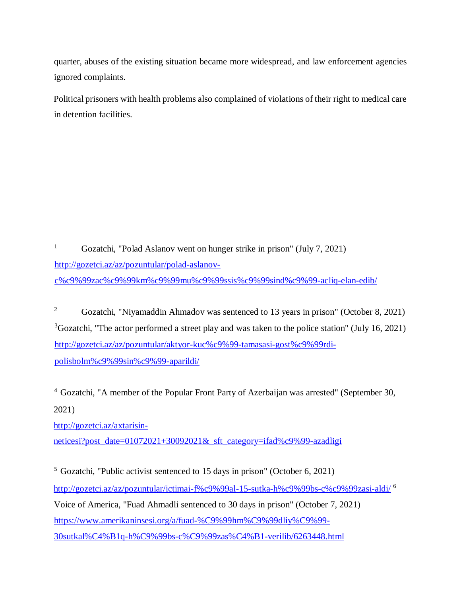quarter, abuses of the existing situation became more widespread, and law enforcement agencies ignored complaints.

Political prisoners with health problems also complained of violations of their right to medical care in detention facilities.

<sup>1</sup> Gozatchi, "Polad Aslanov went on hunger strike in prison" (July 7, 2021) [http://gozetci.az/az/pozuntular/polad-aslanov](http://gozetci.az/az/pozuntular/polad-aslanov-c%c9%99zac%c9%99km%c9%99-mu%c9%99ssis%c9%99sind%c9%99-acliq-elan-edib/)[c%c9%99zac%c9%99km%c9%99mu%c9%99ssis%c9%99sind%c9%99-acliq-elan-edib/](http://gozetci.az/az/pozuntular/polad-aslanov-c%c9%99zac%c9%99km%c9%99-mu%c9%99ssis%c9%99sind%c9%99-acliq-elan-edib/)

<sup>2</sup> Gozatchi, "Niyamaddin Ahmadov was sentenced to 13 years in prison" (October 8, 2021)  $3$ Gozatchi, "The actor performed a street play and was taken to the police station" (July 16, 2021) [http://gozetci.az/az/pozuntular/aktyor-kuc%c9%99-tamasasi-gost%c9%99rdi](http://gozetci.az/az/pozuntular/aktyor-kuc%c9%99-tamasasi-gost%c9%99rdi-polis-bolm%c9%99sin%c9%99-aparildi/)[polisbolm%c9%99sin%c9%99-aparildi/](http://gozetci.az/az/pozuntular/aktyor-kuc%c9%99-tamasasi-gost%c9%99rdi-polis-bolm%c9%99sin%c9%99-aparildi/)

<sup>4</sup> Gozatchi, "A member of the Popular Front Party of Azerbaijan was arrested" (September 30, 2021)

[http://gozetci.az/axtarisin-](http://gozetci.az/axtarisin-neticesi?post_date=01072021+30092021&_sft_category=ifad%c9%99-azadligi)

[neticesi?post\\_date=01072021+30092021&\\_sft\\_category=ifad%c9%99-azadligi](http://gozetci.az/axtarisin-neticesi?post_date=01072021+30092021&_sft_category=ifad%c9%99-azadligi)

<sup>5</sup> Gozatchi, "Public activist sentenced to 15 days in prison" (October 6, 2021) <http://gozetci.az/az/pozuntular/ictimai-f%c9%99al-15-sutka-h%c9%99bs-c%c9%99zasi-aldi/> <sup>6</sup> Voice of America, "Fuad Ahmadli sentenced to 30 days in prison" (October 7, 2021) [https://www.amerikaninsesi.org/a/fuad-%C9%99hm%C9%99dliy%C9%99-](https://www.amerikaninsesi.org/a/fuad-%C9%99hm%C9%99dliy%C9%99-30-sutkal%C4%B1q-h%C9%99bs-c%C9%99zas%C4%B1-verilib/6263448.html) [30sutkal%C4%B1q-h%C9%99bs-c%C9%99zas%C4%B1-verilib/6263448.html](https://www.amerikaninsesi.org/a/fuad-%C9%99hm%C9%99dliy%C9%99-30-sutkal%C4%B1q-h%C9%99bs-c%C9%99zas%C4%B1-verilib/6263448.html)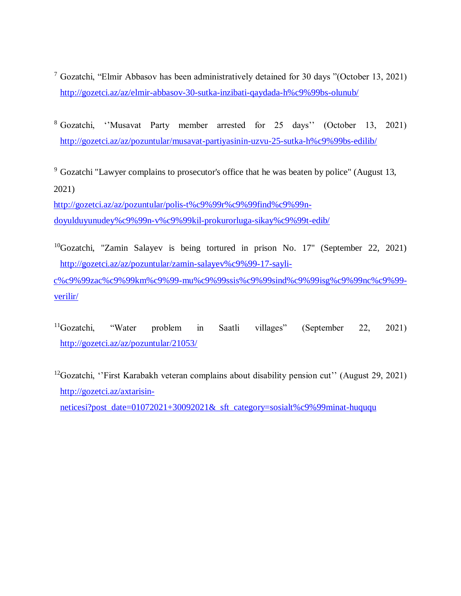- <sup>7</sup> Gozatchi, "Elmir Abbasov has been administratively detained for 30 days "(October 13, 2021) <http://gozetci.az/az/elmir-abbasov-30-sutka-inzibati-qaydada-h%c9%99bs-olunub/>
- <sup>8</sup> Gozatchi, ''Musavat Party member arrested for 25 days'' (October 13, 2021) <http://gozetci.az/az/pozuntular/musavat-partiyasinin-uzvu-25-sutka-h%c9%99bs-edilib/>

<sup>9</sup> Gozatchi "Lawyer complains to prosecutor's office that he was beaten by police" (August 13, 2021)

[http://gozetci.az/az/pozuntular/polis-t%c9%99r%c9%99find%c9%99n](http://gozetci.az/az/pozuntular/polis-t%c9%99r%c9%99find%c9%99n-doyulduyunu-dey%c9%99n-v%c9%99kil-prokurorluga-sikay%c9%99t-edib/)[doyulduyunudey%c9%99n-v%c9%99kil-prokurorluga-sikay%c9%99t-edib/](http://gozetci.az/az/pozuntular/polis-t%c9%99r%c9%99find%c9%99n-doyulduyunu-dey%c9%99n-v%c9%99kil-prokurorluga-sikay%c9%99t-edib/)

<sup>10</sup>Gozatchi, "Zamin Salayev is being tortured in prison No. 17" (September 22, 2021) [http://gozetci.az/az/pozuntular/zamin-salayev%c9%99-17-sayli-](http://gozetci.az/az/pozuntular/zamin-salayev%c9%99-17-sayli-c%c9%99zac%c9%99km%c9%99-mu%c9%99ssis%c9%99sind%c9%99-isg%c9%99nc%c9%99-verilir/)

[c%c9%99zac%c9%99km%c9%99-mu%c9%99ssis%c9%99sind%c9%99isg%c9%99nc%c9%99](http://gozetci.az/az/pozuntular/zamin-salayev%c9%99-17-sayli-c%c9%99zac%c9%99km%c9%99-mu%c9%99ssis%c9%99sind%c9%99-isg%c9%99nc%c9%99-verilir/) [verilir/](http://gozetci.az/az/pozuntular/zamin-salayev%c9%99-17-sayli-c%c9%99zac%c9%99km%c9%99-mu%c9%99ssis%c9%99sind%c9%99-isg%c9%99nc%c9%99-verilir/)

- <sup>11</sup>Gozatchi, "Water problem in Saatli villages" (September 22, 2021) <http://gozetci.az/az/pozuntular/21053/>
- <sup>12</sup>Gozatchi, "First Karabakh veteran complains about disability pension cut" (August 29, 2021) [http://gozetci.az/axtarisin](http://gozetci.az/axtarisin-neticesi?post_date=01072021+30092021&_sft_category=sosial-t%c9%99minat-huququ)[neticesi?post\\_date=01072021+30092021&\\_sft\\_category=sosialt%c9%99minat-huququ](http://gozetci.az/axtarisin-neticesi?post_date=01072021+30092021&_sft_category=sosial-t%c9%99minat-huququ)